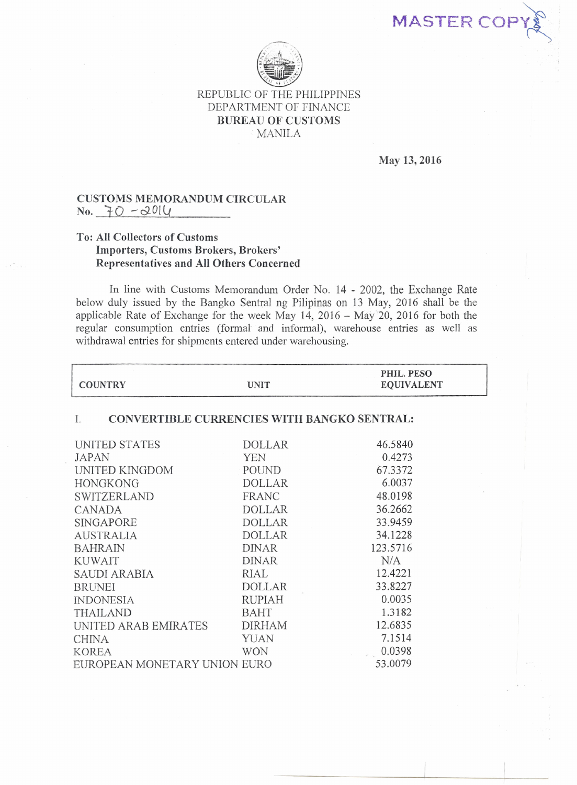MASTER CO



## REPUBLIC OF THE PHILIPPINES DEPARTMENT OF FINANCE BUREAU OF CUSTOMS MANILA

May 13,2016

## CUSTOMS MEMORANDUM CIRCULAR  $No. 70 - 2014$

## To: All Collectors of Customs Importers, Customs Brokers, Brokers' Representatives and All Others Concerned

In line with Customs Memorandum Order No. 14 - 2002, the Exchange Rate below duly issued by the Bangko Sentral ng Pilipinas on 13 May, 2016 shall be the applicable Rate of Exchange for the week May 14, 2016 - May 20, 2016 for both the regular consumption entries (formal and informal), warehouse entries as well as withdrawal entries for shipments entered under warehousing.

| <b>COUNTRY</b>                                    | <b>UNIT</b>   | PHIL. PESO<br><b>EQUIVALENT</b> |  |
|---------------------------------------------------|---------------|---------------------------------|--|
| CONVERTIBLE CURRENCIES WITH BANGKO SENTRAL:<br>Ι. |               |                                 |  |
| UNITED STATES                                     | <b>DOLLAR</b> | 46.5840                         |  |
| <b>JAPAN</b>                                      | <b>YEN</b>    | 0.4273                          |  |
| UNITED KINGDOM                                    | POUND         | 67.3372                         |  |
| <b>HONGKONG</b>                                   | <b>DOLLAR</b> | 6.0037                          |  |
| <b>SWITZERLAND</b>                                | <b>FRANC</b>  | 48.0198                         |  |
| CANADA                                            | <b>DOLLAR</b> | 36.2662                         |  |
| <b>SINGAPORE</b>                                  | <b>DOLLAR</b> | 33.9459                         |  |
| <b>AUSTRALIA</b>                                  | <b>DOLLAR</b> | 34.1228                         |  |
| <b>BAHRAIN</b>                                    | <b>DINAR</b>  | 123.5716                        |  |
| KUWAIT                                            | <b>DINAR</b>  | N/A                             |  |
| SAUDI ARABIA                                      | <b>RIAL</b>   | 12.4221                         |  |
| <b>BRUNEI</b>                                     | <b>DOLLAR</b> | 33.8227                         |  |
| <b>INDONESIA</b>                                  | <b>RUPIAH</b> | 0.0035                          |  |
| <b>THAILAND</b>                                   | <b>BAHT</b>   | 1.3182                          |  |
| UNITED ARAB EMIRATES                              | <b>DIRHAM</b> | 12.6835                         |  |
| <b>CHINA</b>                                      | <b>YUAN</b>   | 7.1514                          |  |
| <b>KOREA</b>                                      | <b>WON</b>    | 0.0398                          |  |
| EUROPEAN MONETARY UNION EURO                      |               | 53.0079                         |  |
|                                                   |               |                                 |  |